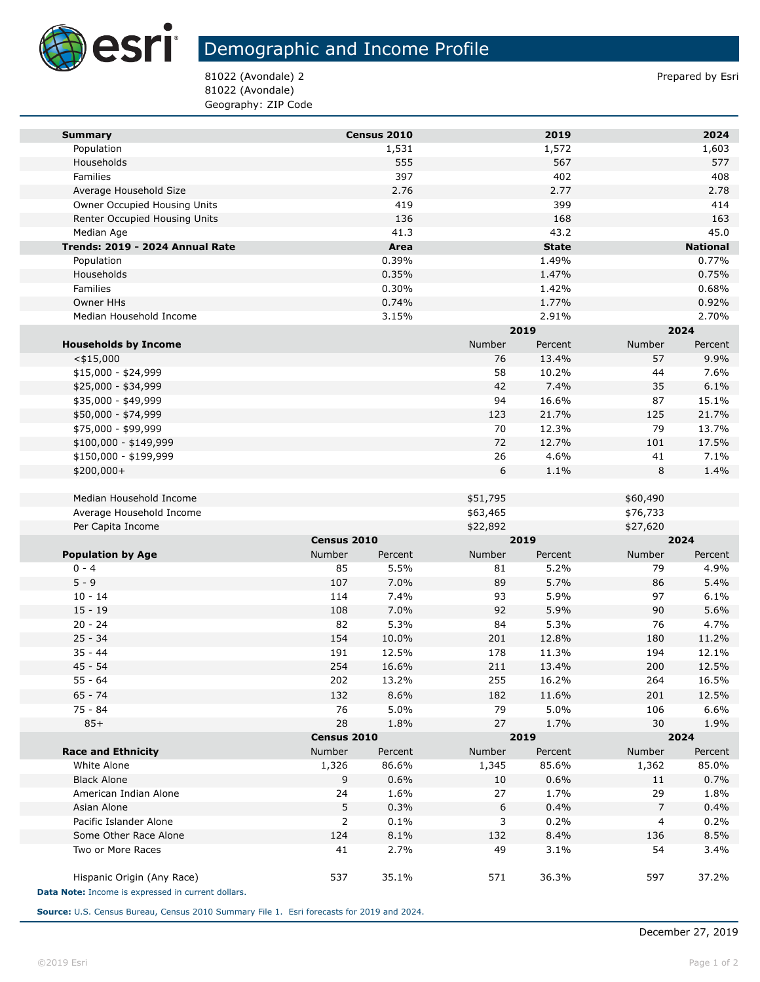

## Demographic and Income Profile

81022 (Avondale) 2 Prepared by Esri 81022 (Avondale) Geography: ZIP Code

| <b>Summary</b>                                     |             | Census 2010 |          | 2019         |          | 2024            |
|----------------------------------------------------|-------------|-------------|----------|--------------|----------|-----------------|
| Population                                         |             | 1,531       |          | 1,572        |          | 1,603           |
| Households                                         |             | 555         |          | 567          |          | 577             |
| Families                                           |             | 397         |          | 402          |          | 408             |
| Average Household Size                             |             | 2.76        |          | 2.77         |          | 2.78            |
| Owner Occupied Housing Units                       |             | 419         |          | 399          |          | 414             |
| Renter Occupied Housing Units                      |             | 136         |          | 168          |          | 163             |
| Median Age                                         |             | 41.3        |          | 43.2         |          | 45.0            |
| Trends: 2019 - 2024 Annual Rate                    |             | Area        |          | <b>State</b> |          | <b>National</b> |
| Population                                         |             | 0.39%       |          | 1.49%        |          | 0.77%           |
| Households                                         |             | 0.35%       |          | 1.47%        |          | 0.75%           |
| Families                                           |             | 0.30%       |          | 1.42%        |          | 0.68%           |
| Owner HHs                                          |             | 0.74%       |          | 1.77%        |          | 0.92%           |
| Median Household Income                            |             | 3.15%       |          | 2.91%        |          | 2.70%           |
|                                                    |             |             |          | 2019         |          | 2024            |
| <b>Households by Income</b>                        |             |             | Number   | Percent      | Number   | Percent         |
| $<$ \$15,000                                       |             |             | 76       | 13.4%        | 57       | 9.9%            |
| \$15,000 - \$24,999                                |             |             | 58       | 10.2%        | 44       | 7.6%            |
| \$25,000 - \$34,999                                |             |             | 42       | 7.4%         | 35       | 6.1%            |
| \$35,000 - \$49,999                                |             |             | 94       | 16.6%        | 87       | 15.1%           |
| \$50,000 - \$74,999                                |             |             | 123      | 21.7%        | 125      | 21.7%           |
| \$75,000 - \$99,999                                |             |             | 70       | 12.3%        | 79       | 13.7%           |
| \$100,000 - \$149,999                              |             |             | 72       | 12.7%        | 101      | 17.5%           |
| \$150,000 - \$199,999                              |             |             | 26       | 4.6%         | 41       | 7.1%            |
| \$200,000+                                         |             |             | 6        | 1.1%         | 8        | 1.4%            |
|                                                    |             |             |          |              |          |                 |
| Median Household Income                            |             |             | \$51,795 |              | \$60,490 |                 |
| Average Household Income                           |             |             | \$63,465 |              | \$76,733 |                 |
| Per Capita Income                                  |             |             | \$22,892 |              | \$27,620 |                 |
|                                                    | Census 2010 |             | 2019     |              | 2024     |                 |
| <b>Population by Age</b>                           | Number      | Percent     | Number   | Percent      | Number   | Percent         |
| $0 - 4$                                            | 85          | 5.5%        | 81       | 5.2%         | 79       | 4.9%            |
| $5 - 9$                                            | 107         | 7.0%        | 89       | 5.7%         | 86       | 5.4%            |
| $10 - 14$                                          | 114         | 7.4%        | 93       | 5.9%         | 97       | 6.1%            |
| $15 - 19$                                          | 108         | 7.0%        | 92       | 5.9%         | 90       | 5.6%            |
| $20 - 24$                                          | 82          | 5.3%        | 84       | 5.3%         | 76       | 4.7%            |
| $25 - 34$                                          | 154         | 10.0%       | 201      | 12.8%        | 180      | 11.2%           |
| $35 - 44$                                          | 191         | 12.5%       | 178      | 11.3%        | 194      | 12.1%           |
| $45 - 54$                                          | 254         | 16.6%       | 211      | 13.4%        | 200      | 12.5%           |
| $55 - 64$                                          | 202         | 13.2%       | 255      | 16.2%        | 264      | 16.5%           |
| 65 - 74                                            | 132         | 8.6%        | 182      | 11.6%        | 201      | 12.5%           |
| $75 - 84$                                          | 76          | 5.0%        | 79       | 5.0%         | 106      | 6.6%            |
| $85+$                                              | 28          | 1.8%        | 27       | 1.7%         | 30       | 1.9%            |
|                                                    |             | Census 2010 |          | 2019         | 2024     |                 |
| <b>Race and Ethnicity</b>                          | Number      | Percent     | Number   | Percent      | Number   | Percent         |
| White Alone                                        | 1,326       | 86.6%       | 1,345    | 85.6%        | 1,362    | 85.0%           |
| <b>Black Alone</b>                                 | 9           | 0.6%        | 10       | 0.6%         | 11       | 0.7%            |
| American Indian Alone                              | 24          | 1.6%        | 27       | 1.7%         | 29       | 1.8%            |
| Asian Alone                                        | 5           | 0.3%        | 6        | 0.4%         | 7        | 0.4%            |
| Pacific Islander Alone                             | 2           | 0.1%        | 3        | 0.2%         | 4        | 0.2%            |
| Some Other Race Alone                              | 124         | 8.1%        | 132      | 8.4%         | 136      | 8.5%            |
| Two or More Races                                  | 41          | 2.7%        | 49       | 3.1%         | 54       | 3.4%            |
|                                                    |             |             |          |              |          |                 |
| Hispanic Origin (Any Race)                         | 537         | 35.1%       | 571      | 36.3%        | 597      | 37.2%           |
| Data Note: Income is expressed in current dollars. |             |             |          |              |          |                 |

**Source:** U.S. Census Bureau, Census 2010 Summary File 1. Esri forecasts for 2019 and 2024.